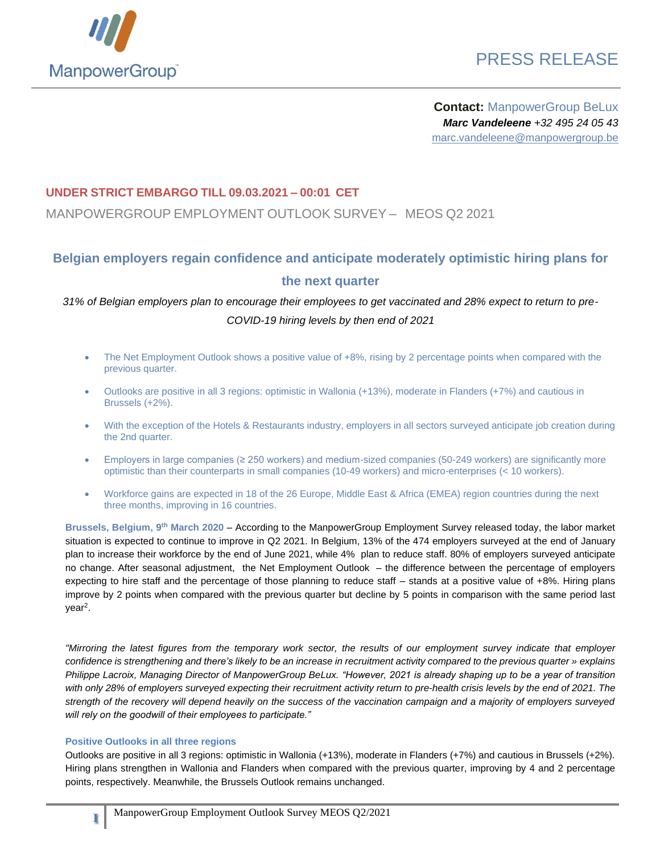

# PRESS RELEASE

**Contact:** ManpowerGroup BeLux *Marc Vandeleene +32 495 24 05 43* marc.vandeleene@manpowergroup.be

### **UNDER STRICT EMBARGO TILL 09.03.2021 – 00:01 CET**

MANPOWERGROUP EMPLOYMENT OUTLOOK SURVEY – MEOS Q2 2021

## **Belgian employers regain confidence and anticipate moderately optimistic hiring plans for the next quarter**

*31% of Belgian employers plan to encourage their employees to get vaccinated and 28% expect to return to pre-COVID-19 hiring levels by then end of 2021*

- The Net Employment Outlook shows a positive value of +8%, rising by 2 percentage points when compared with the previous quarter.
- Outlooks are positive in all 3 regions: optimistic in Wallonia (+13%), moderate in Flanders (+7%) and cautious in Brussels (+2%).
- With the exception of the Hotels & Restaurants industry, employers in all sectors surveyed anticipate job creation during the 2nd quarter.
- Employers in large companies (≥ 250 workers) and medium-sized companies (50-249 workers) are significantly more optimistic than their counterparts in small companies (10-49 workers) and micro-enterprises (< 10 workers).
- Workforce gains are expected in 18 of the 26 Europe, Middle East & Africa (EMEA) region countries during the next three months, improving in 16 countries.

**Brussels, Belgium, 9 th March 2020** – According to the ManpowerGroup Employment Survey released today, the labor market situation is expected to continue to improve in Q2 2021. In Belgium, 13% of the 474 employers surveyed at the end of January plan to increase their workforce by the end of June 2021, while 4% plan to reduce staff. 80% of employers surveyed anticipate no change. After seasonal adjustment, the Net Employment Outlook – the difference between the percentage of employers expecting to hire staff and the percentage of those planning to reduce staff – stands at a positive value of +8%. Hiring plans improve by 2 points when compared with the previous quarter but decline by 5 points in comparison with the same period last year<sup>2</sup>.

*"Mirroring the latest figures from the temporary work sector, the results of our employment survey indicate that employer confidence is strengthening and there's likely to be an increase in recruitment activity compared to the previous quarter » explains Philippe Lacroix, Managing Director of ManpowerGroup BeLux. "However, 2021 is already shaping up to be a year of transition with only 28% of employers surveyed expecting their recruitment activity return to pre-health crisis levels by the end of 2021. The strength of the recovery will depend heavily on the success of the vaccination campaign and a majority of employers surveyed will rely on the goodwill of their employees to participate."*

#### **Positive Outlooks in all three regions**

**1**

Outlooks are positive in all 3 regions: optimistic in Wallonia (+13%), moderate in Flanders (+7%) and cautious in Brussels (+2%). Hiring plans strengthen in Wallonia and Flanders when compared with the previous quarter, improving by 4 and 2 percentage points, respectively. Meanwhile, the Brussels Outlook remains unchanged.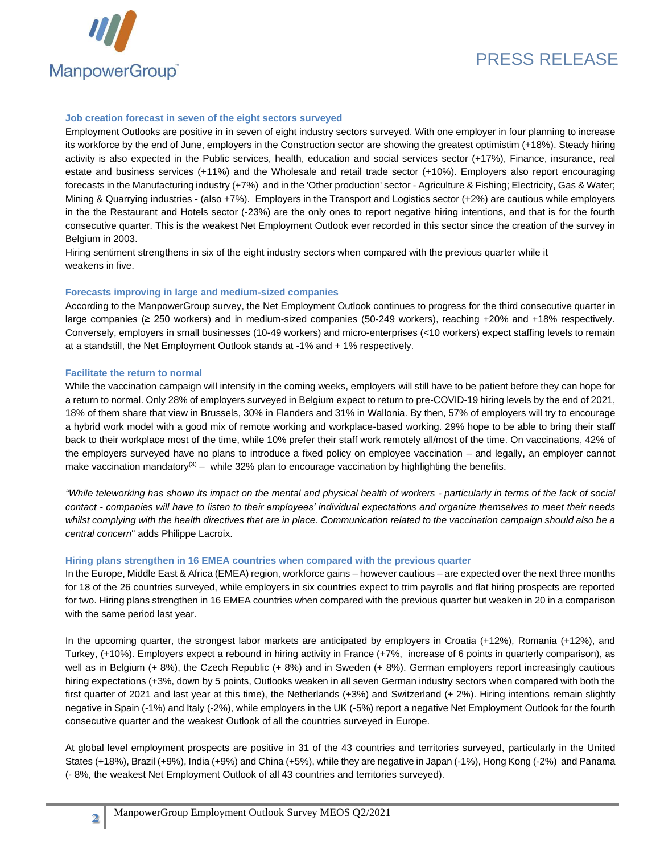

#### **Job creation forecast in seven of the eight sectors surveyed**

Employment Outlooks are positive in in seven of eight industry sectors surveyed. With one employer in four planning to increase its workforce by the end of June, employers in the Construction sector are showing the greatest optimistim (+18%). Steady hiring activity is also expected in the Public services, health, education and social services sector (+17%), Finance, insurance, real estate and business services (+11%) and the Wholesale and retail trade sector (+10%). Employers also report encouraging forecasts in the Manufacturing industry (+7%) and in the 'Other production' sector - Agriculture & Fishing; Electricity, Gas & Water; Mining & Quarrying industries - (also +7%). Employers in the Transport and Logistics sector (+2%) are cautious while employers in the the Restaurant and Hotels sector (-23%) are the only ones to report negative hiring intentions, and that is for the fourth consecutive quarter. This is the weakest Net Employment Outlook ever recorded in this sector since the creation of the survey in Belgium in 2003.

Hiring sentiment strengthens in six of the eight industry sectors when compared with the previous quarter while it weakens in five.

#### **Forecasts improving in large and medium-sized companies**

According to the ManpowerGroup survey, the Net Employment Outlook continues to progress for the third consecutive quarter in large companies (≥ 250 workers) and in medium-sized companies (50-249 workers), reaching +20% and +18% respectively. Conversely, employers in small businesses (10-49 workers) and micro-enterprises (<10 workers) expect staffing levels to remain at a standstill, the Net Employment Outlook stands at -1% and + 1% respectively.

#### **Facilitate the return to normal**

**2**

While the vaccination campaign will intensify in the coming weeks, employers will still have to be patient before they can hope for a return to normal. Only 28% of employers surveyed in Belgium expect to return to pre-COVID-19 hiring levels by the end of 2021, 18% of them share that view in Brussels, 30% in Flanders and 31% in Wallonia. By then, 57% of employers will try to encourage a hybrid work model with a good mix of remote working and workplace-based working. 29% hope to be able to bring their staff back to their workplace most of the time, while 10% prefer their staff work remotely all/most of the time. On vaccinations, 42% of the employers surveyed have no plans to introduce a fixed policy on employee vaccination – and legally, an employer cannot make vaccination mandatory<sup>(3)</sup> – while 32% plan to encourage vaccination by highlighting the benefits.

*"While teleworking has shown its impact on the mental and physical health of workers - particularly in terms of the lack of social contact - companies will have to listen to their employees' individual expectations and organize themselves to meet their needs whilst complying with the health directives that are in place. Communication related to the vaccination campaign should also be a central concern*" adds Philippe Lacroix.

#### **Hiring plans strengthen in 16 EMEA countries when compared with the previous quarter**

In the Europe, Middle East & Africa (EMEA) region, workforce gains – however cautious – are expected over the next three months for 18 of the 26 countries surveyed, while employers in six countries expect to trim payrolls and flat hiring prospects are reported for two. Hiring plans strengthen in 16 EMEA countries when compared with the previous quarter but weaken in 20 in a comparison with the same period last year.

In the upcoming quarter, the strongest labor markets are anticipated by employers in Croatia (+12%), Romania (+12%), and Turkey, (+10%). Employers expect a rebound in hiring activity in France (+7%, increase of 6 points in quarterly comparison), as well as in Belgium (+ 8%), the Czech Republic (+ 8%) and in Sweden (+ 8%). German employers report increasingly cautious hiring expectations (+3%, down by 5 points, Outlooks weaken in all seven German industry sectors when compared with both the first quarter of 2021 and last year at this time), the Netherlands (+3%) and Switzerland (+ 2%). Hiring intentions remain slightly negative in Spain (-1%) and Italy (-2%), while employers in the UK (-5%) report a negative Net Employment Outlook for the fourth consecutive quarter and the weakest Outlook of all the countries surveyed in Europe.

At global level employment prospects are positive in 31 of the 43 countries and territories surveyed, particularly in the United States (+18%), Brazil (+9%), India (+9%) and China (+5%), while they are negative in Japan (-1%), Hong Kong (-2%) and Panama (- 8%, the weakest Net Employment Outlook of all 43 countries and territories surveyed).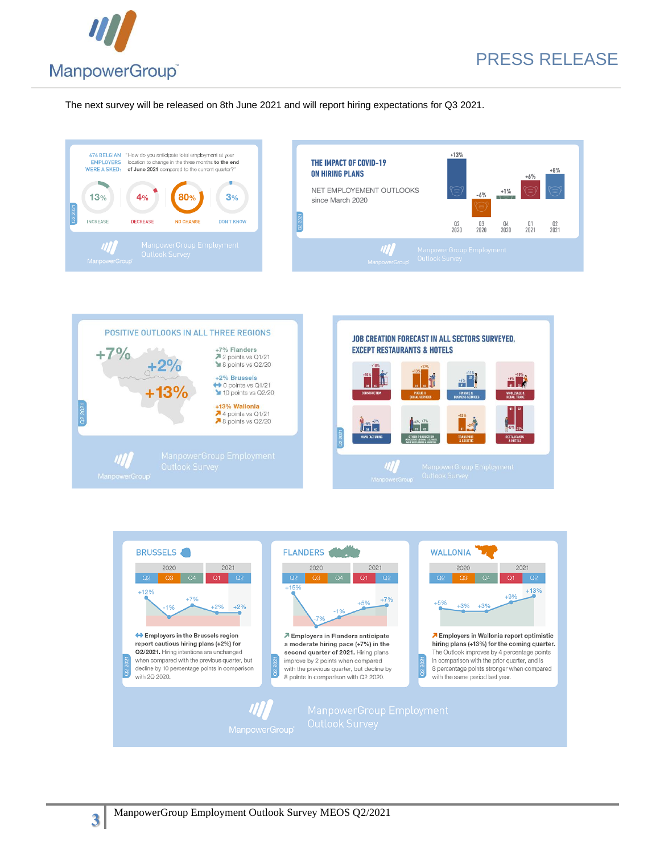

# PRESS RELEASE

The next survey will be released on 8th June 2021 and will report hiring expectations for Q3 2021.





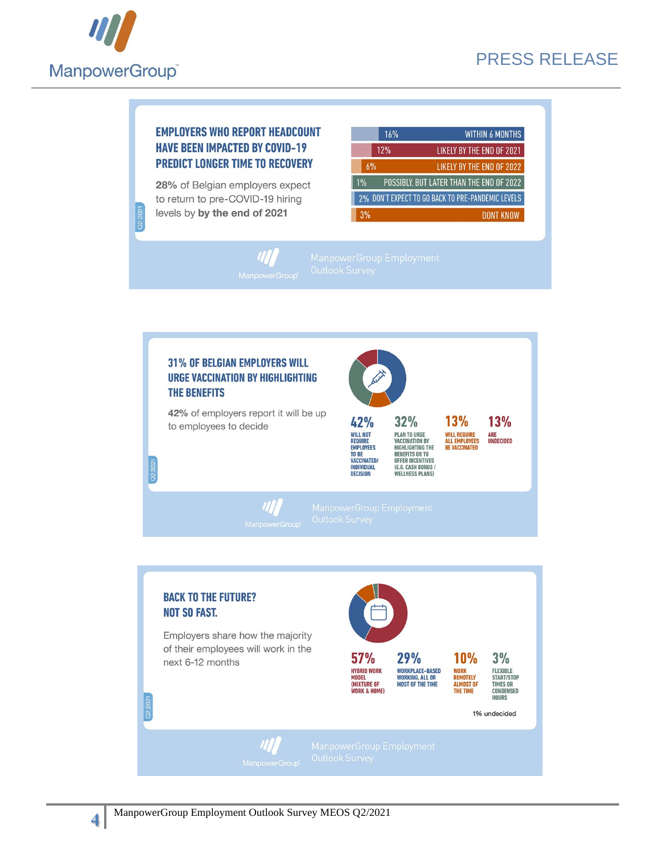

### **EMPLOYERS WHO REPORT HEADCOUNT HAVE BEEN IMPACTED BY COVID-19 PREDICT LONGER TIME TO RECOVERY**

28% of Belgian employers expect to return to pre-COVID-19 hiring levels by by the end of 2021

|    | 16% | <b>WITHIN 6 MONTHS</b>                            |
|----|-----|---------------------------------------------------|
|    | 12% | <b>LIKELY BY THE END OF 2021</b>                  |
| 6% |     | LIKELY BY THE END OF 2022                         |
| 1% |     | POSSIBLY, BUT LATER THAN THE END OF 2022          |
|    |     | 2% DON'T EXPECT TO GO BACK TO PRE-PANDEMIC LEVELS |
| 3% |     | DONT KNOW                                         |





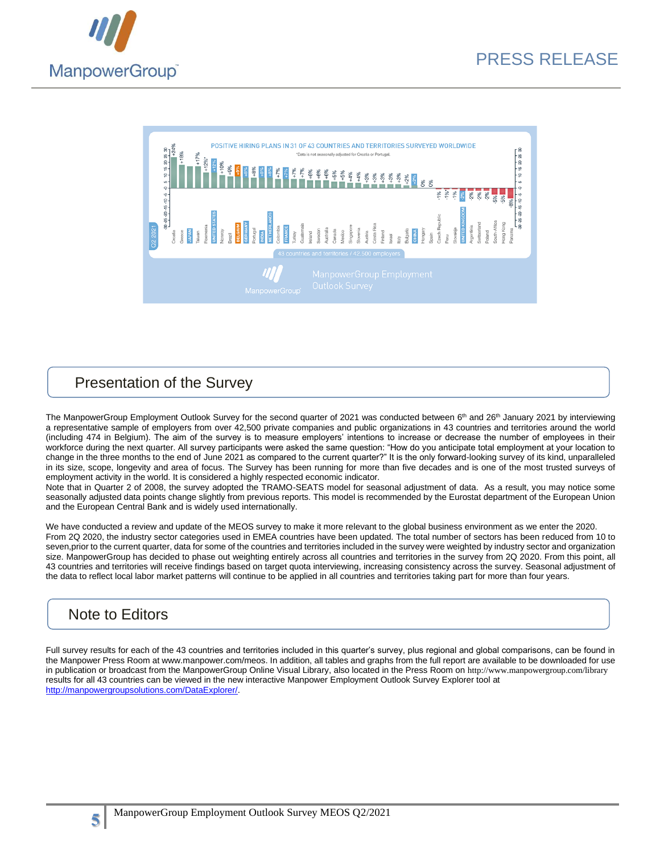



### Presentation of the Survey

The ManpowerGroup Employment Outlook Survey for the second quarter of 2021 was conducted between 6<sup>th</sup> and 26<sup>th</sup> January 2021 by interviewing a representative sample of employers from over 42,500 private companies and public organizations in 43 countries and territories around the world (including 474 in Belgium). The aim of the survey is to measure employers' intentions to increase or decrease the number of employees in their workforce during the next quarter. All survey participants were asked the same question: "How do you anticipate total employment at your location to change in the three months to the end of June 2021 as compared to the current quarter?" It is the only forward-looking survey of its kind, unparalleled in its size, scope, longevity and area of focus. The Survey has been running for more than five decades and is one of the most trusted surveys of employment activity in the world. It is considered a highly respected economic indicator.

Note that in Quarter 2 of 2008, the survey adopted the TRAMO-SEATS model for seasonal adjustment of data. As a result, you may notice some seasonally adjusted data points change slightly from previous reports. This model is recommended by the Eurostat department of the European Union and the European Central Bank and is widely used internationally.

We have conducted a review and update of the MEOS survey to make it more relevant to the global business environment as we enter the 2020. From 2Q 2020, the industry sector categories used in EMEA countries have been updated. The total number of sectors has been reduced from 10 to seven, prior to the current quarter, data for some of the countries and territories included in the survey were weighted by industry sector and organization size. ManpowerGroup has decided to phase out weighting entirely across all countries and territories in the survey from 2Q 2020. From this point, all 43 countries and territories will receive findings based on target quota interviewing, increasing consistency across the survey. Seasonal adjustment of the data to reflect local labor market patterns will continue to be applied in all countries and territories taking part for more than four years.

## Note to Editors

Full survey results for each of the 43 countries and territories included in this quarter's survey, plus regional and global comparisons, can be found in the Manpower Press Room at www.manpower.com/meos. In addition, all tables and graphs from the full report are available to be downloaded for use in publication or broadcast from the ManpowerGroup Online Visual Library, also located in the Press Room on <http://www.manpowergroup.com/library> results for all 43 countries can be viewed in the new interactive [Manpower Employment Outlook Survey Explorer tool](http://www.manpowergroupsolutions.com/DataExplorer/) at [http://manpowergroupsolutions.com/DataExplorer/.](http://manpowergroupsolutions.com/DataExplorer/)